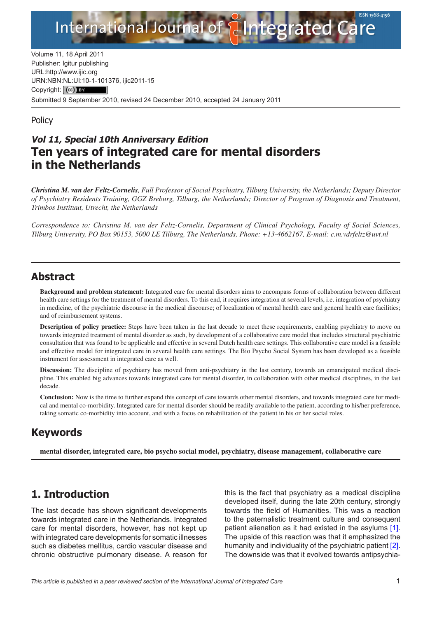

Volume 11, 18 April 2011 Publisher: Igitur publishing URL[:http://www.ijic.org](http://www.ijic.org) URN:NBN[:NL:UI:10-1-1013](http://creativecommons.org/licenses/by/3.0/)76, ijic2011-15 Copyright: (cc) BY Submitted 9 September 2010, revised 24 December 2010, accepted 24 January 2011

### **Policy**

# **Vol 11, Special 10th Anniversary Edition Ten years of integrated care for mental disorders in the Netherlands**

*Christina M. van der Feltz-Cornelis, Full Professor of Social Psychiatry, Tilburg University, the Netherlands; Deputy Director of Psychiatry Residents Training, GGZ Breburg, Tilburg, the Netherlands; Director of Program of Diagnosis and Treatment, Trimbos Instituut, Utrecht, the Netherlands*

*Correspondence to: Christina M. van der Feltz-Cornelis, Department of Clinical Psychology, Faculty of Social Sciences, Tilburg University, PO Box 90153, 5000 LE Tilburg, The Netherlands, Phone: +13-4662167, E-mail: [c.m.vdrfeltz@uvt.nl](mailto:c.m.vdrfeltz@uvt.nl)*

### **Abstract**

**Background and problem statement:** Integrated care for mental disorders aims to encompass forms of collaboration between different health care settings for the treatment of mental disorders. To this end, it requires integration at several levels, i.e. integration of psychiatry in medicine, of the psychiatric discourse in the medical discourse; of localization of mental health care and general health care facilities; and of reimbursement systems.

**Description of policy practice:** Steps have been taken in the last decade to meet these requirements, enabling psychiatry to move on towards integrated treatment of mental disorder as such, by development of a collaborative care model that includes structural psychiatric consultation that was found to be applicable and effective in several Dutch health care settings. This collaborative care model is a feasible and effective model for integrated care in several health care settings. The Bio Psycho Social System has been developed as a feasible instrument for assessment in integrated care as well.

**Discussion:** The discipline of psychiatry has moved from anti-psychiatry in the last century, towards an emancipated medical discipline. This enabled big advances towards integrated care for mental disorder, in collaboration with other medical disciplines, in the last decade.

**Conclusion:** Now is the time to further expand this concept of care towards other mental disorders, and towards integrated care for medical and mental co-morbidity. Integrated care for mental disorder should be readily available to the patient, according to his/her preference, taking somatic co-morbidity into account, and with a focus on rehabilitation of the patient in his or her social roles.

### **Keywords**

**mental disorder, integrated care, bio psycho social model, psychiatry, disease management, collaborative care**

## **1. Introduction**

The last decade has shown significant developments towards integrated care in the Netherlands. Integrated care for mental disorders, however, has not kept up with integrated care developments for somatic illnesses such as diabetes mellitus, cardio vascular disease and chronic obstructive pulmonary disease. A reason for this is the fact that psychiatry as a medical discipline developed itself, during the late 20th century, strongly towards the field of Humanities. This was a reaction to the paternalistic treatment culture and consequent patient alienation as it had existed in the asylums [[1](#page-5-0)]. The upside of this reaction was that it emphasized the humanity and individuality of the psychiatric patient [[2](#page-5-0)]. The downside was that it evolved towards antipsychia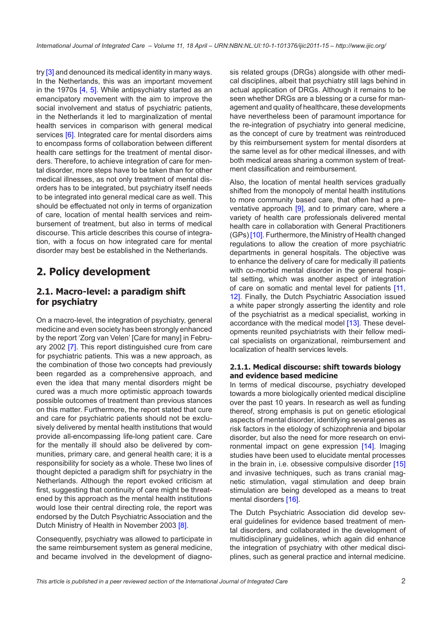try [\[3\]](#page-5-0) and denounced its medical identity in many ways. In the Netherlands, this was an important movement in the 1970s [\[4,](#page-5-0) [5\]](#page-5-0). While antipsychiatry started as an emancipatory movement with the aim to improve the social involvement and status of psychiatric patients, in the Netherlands it led to marginalization of mental health services in comparison with general medical services [[6\]](#page-5-0). Integrated care for mental disorders aims to encompass forms of collaboration between different health care settings for the treatment of mental disorders. Therefore, to achieve integration of care for mental disorder, more steps have to be taken than for other medical illnesses, as not only treatment of mental disorders has to be integrated, but psychiatry itself needs to be integrated into general medical care as well. This should be effectuated not only in terms of organization of care, location of mental health services and reimbursement of treatment, but also in terms of medical discourse. This article describes this course of integration, with a focus on how integrated care for mental disorder may best be established in the Netherlands.

# **2. Policy development**

### **2.1. Macro-level: a paradigm shift for psychiatry**

On a macro-level, the integration of psychiatry, general medicine and even society has been strongly enhanced by the report 'Zorg van Velen' [Care for many] in February 2002 [\[7\]](#page-5-0). This report distinguished cure from care for psychiatric patients. This was a new approach, as the combination of those two concepts had previously been regarded as a comprehensive approach, and even the idea that many mental disorders might be cured was a much more optimistic approach towards possible outcomes of treatment than previous stances on this matter. Furthermore, the report stated that cure and care for psychiatric patients should not be exclusively delivered by mental health institutions that would provide all-encompassing life-long patient care. Care for the mentally ill should also be delivered by communities, primary care, and general health care; it is a responsibility for society as a whole. These two lines of thought depicted a paradigm shift for psychiatry in the Netherlands. Although the report evoked criticism at first, suggesting that continuity of care might be threatened by this approach as the mental health institutions would lose their central directing role, the report was endorsed by the Dutch Psychiatric Association and the Dutch Ministry of Health in November 2003 [[8](#page-5-0)].

Consequently, psychiatry was allowed to participate in the same reimbursement system as general medicine, and became involved in the development of diagno-

sis related groups (DRGs) alongside with other medical disciplines, albeit that psychiatry still lags behind in actual application of DRGs. Although it remains to be seen whether DRGs are a blessing or a curse for management and quality of healthcare, these developments have nevertheless been of paramount importance for the re-integration of psychiatry into general medicine, as the concept of cure by treatment was reintroduced by this reimbursement system for mental disorders at the same level as for other medical illnesses, and with both medical areas sharing a common system of treatment classification and reimbursement.

Also, the location of mental health services gradually shifted from the monopoly of mental health institutions to more community based care, that often had a pre-ventative approach [\[9\]](#page-5-0), and to primary care, where a variety of health care professionals delivered mental health care in collaboration with General Practitioners (GPs) [[10\]](#page-5-0). Furthermore, the Ministry of Health changed regulations to allow the creation of more psychiatric departments in general hospitals. The objective was to enhance the delivery of care for medically ill patients with co-morbid mental disorder in the general hospital setting, which was another aspect of integration of care on somatic and mental level for patients [[11,](#page-5-0) [12](#page-5-0)]. Finally, the Dutch Psychiatric Association issued a white paper strongly asserting the identity and role of the psychiatrist as a medical specialist, working in accordance with the medical model [\[13\]](#page-5-0). These developments reunited psychiatrists with their fellow medical specialists on organizational, reimbursement and localization of health services levels.

#### **2.1.1. Medical discourse: shift towards biology and evidence based medicine**

In terms of medical discourse, psychiatry developed towards a more biologically oriented medical discipline over the past 10 years. In research as well as funding thereof, strong emphasis is put on genetic etiological aspects of mental disorder, identifying several genes as risk factors in the etiology of schizophrenia and bipolar disorder, but also the need for more research on environmental impact on gene expression [[14\]](#page-5-0). Imaging studies have been used to elucidate mental processes in the brain in, i.e. obsessive compulsive disorder [[15\]](#page-6-0) and invasive techniques, such as trans cranial magnetic stimulation, vagal stimulation and deep brain stimulation are being developed as a means to treat mental disorders [[16\]](#page-6-0).

The Dutch Psychiatric Association did develop several guidelines for evidence based treatment of mental disorders, and collaborated in the development of multidisciplinary guidelines, which again did enhance the integration of psychiatry with other medical disciplines, such as general practice and internal medicine.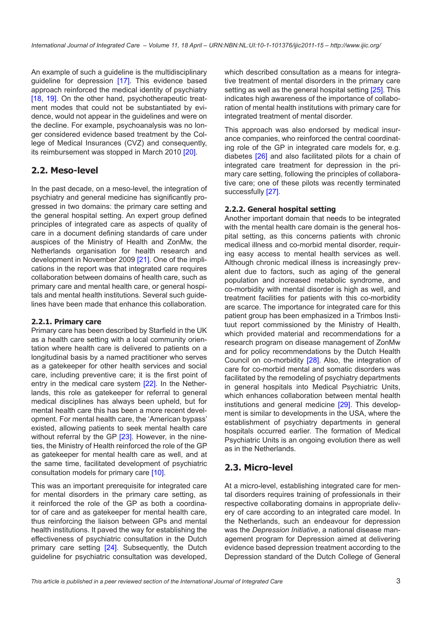An example of such a guideline is the multidisciplinary guideline for depression [[17\]](#page-6-0). This evidence based approach reinforced the medical identity of psychiatry [\[18](#page-6-0), [19](#page-6-0)]. On the other hand, psychotherapeutic treatment modes that could not be substantiated by evidence, would not appear in the guidelines and were on the decline. For example, psychoanalysis was no longer considered evidence based treatment by the College of Medical Insurances (CVZ) and consequently, its reimbursement was stopped in March 2010 [[20\]](#page-6-0).

### **2.2. Meso-level**

In the past decade, on a meso-level, the integration of psychiatry and general medicine has significantly progressed in two domains: the primary care setting and the general hospital setting. An expert group defined principles of integrated care as aspects of quality of care in a document defining standards of care under auspices of the Ministry of Health and ZonMw, the Netherlands organisation for health research and development in November 2009 [[21\]](#page-6-0). One of the implications in the report was that integrated care requires collaboration between domains of health care, such as primary care and mental health care, or general hospitals and mental health institutions. Several such guidelines have been made that enhance this collaboration.

#### **2.2.1. Primary care**

Primary care has been described by Starfield in the UK as a health care setting with a local community orientation where health care is delivered to patients on a longitudinal basis by a named practitioner who serves as a gatekeeper for other health services and social care, including preventive care; it is the first point of entry in the medical care system [\[22](#page-6-0)]. In the Netherlands, this role as gatekeeper for referral to general medical disciplines has always been upheld, but for mental health care this has been a more recent development. For mental health care, the 'American bypass' existed, allowing patients to seek mental health care without referral by the GP [\[23\]](#page-6-0). However, in the nineties, the Ministry of Health reinforced the role of the GP as gatekeeper for mental health care as well, and at the same time, facilitated development of psychiatric consultation models for primary care [\[10](#page-5-0)].

This was an important prerequisite for integrated care for mental disorders in the primary care setting, as it reinforced the role of the GP as both a coordinator of care and as gatekeeper for mental health care, thus reinforcing the liaison between GPs and mental health institutions. It paved the way for establishing the effectiveness of psychiatric consultation in the Dutch primary care setting [\[24](#page-6-0)]. Subsequently, the Dutch guideline for psychiatric consultation was developed,

which described consultation as a means for integrative treatment of mental disorders in the primary care setting as well as the general hospital setting [[25\]](#page-6-0). This indicates high awareness of the importance of collaboration of mental health institutions with primary care for integrated treatment of mental disorder.

This approach was also endorsed by medical insurance companies, who reinforced the central coordinating role of the GP in integrated care models for, e.g. diabetes [[26\]](#page-6-0) and also facilitated pilots for a chain of integrated care treatment for depression in the primary care setting, following the principles of collaborative care; one of these pilots was recently terminated successfully [[27\]](#page-6-0).

#### **2.2.2. General hospital setting**

Another important domain that needs to be integrated with the mental health care domain is the general hospital setting, as this concerns patients with chronic medical illness and co-morbid mental disorder, requiring easy access to mental health services as well. Although chronic medical illness is increasingly prevalent due to factors, such as aging of the general population and increased metabolic syndrome, and co-morbidity with mental disorder is high as well, and treatment facilities for patients with this co-morbidity are scarce. The importance for integrated care for this patient group has been emphasized in a Trimbos Instituut report commissioned by the Ministry of Health, which provided material and recommendations for a research program on disease management of ZonMw and for policy recommendations by the Dutch Health Council on co-morbidity [[28](#page-6-0)]. Also, the integration of care for co-morbid mental and somatic disorders was facilitated by the remodeling of psychiatry departments in general hospitals into Medical Psychiatric Units, which enhances collaboration between mental health institutions and general medicine [\[29](#page-6-0)]. This development is similar to developments in the USA, where the establishment of psychiatry departments in general hospitals occurred earlier. The formation of Medical Psychiatric Units is an ongoing evolution there as well as in the Netherlands.

### **2.3. Micro-level**

At a micro-level, establishing integrated care for mental disorders requires training of professionals in their respective collaborating domains in appropriate delivery of care according to an integrated care model. In the Netherlands, such an endeavour for depression was the *Depression Initiative*, a national disease management program for Depression aimed at delivering evidence based depression treatment according to the Depression standard of the Dutch College of General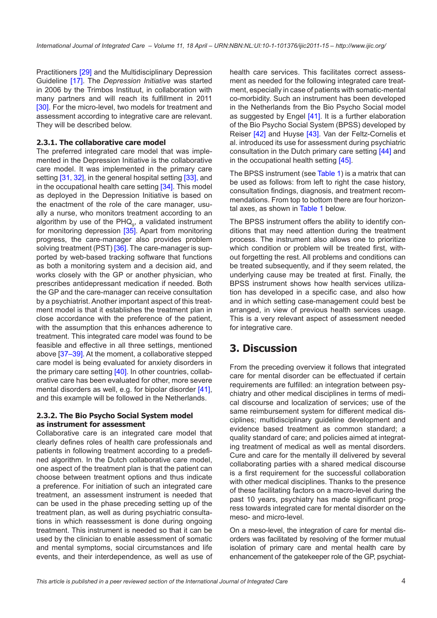Practitioners [\[29](#page-6-0)] and the Multidisciplinary Depression Guideline [[17\]](#page-6-0). The *Depression Initiative* was started in 2006 by the Trimbos Instituut, in collaboration with many partners and will reach its fulfillment in 2011 [\[30\]](#page-6-0). For the micro-level, two models for treatment and assessment according to integrative care are relevant. They will be described below.

#### **2.3.1. The collaborative care model**

The preferred integrated care model that was implemented in the Depression Initiative is the collaborative care model. It was implemented in the primary care setting [\[31](#page-6-0), [32\]](#page-6-0), in the general hospital setting [\[33\]](#page-6-0), and in the occupational health care setting [[34\]](#page-6-0). This model as deployed in the Depression Initiative is based on the enactment of the role of the care manager, usually a nurse, who monitors treatment according to an algorithm by use of the PHQ<sub>9</sub>, a validated instrument for monitoring depression  $[35]$  $[35]$ . Apart from monitoring progress, the care-manager also provides problem solving treatment (PST) [\[36](#page-6-0)]. The care-manager is supported by web-based tracking software that functions as both a monitoring system and a decision aid, and works closely with the GP or another physician, who prescribes antidepressant medication if needed. Both the GP and the care-manager can receive consultation by a psychiatrist. Another important aspect of this treatment model is that it establishes the treatment plan in close accordance with the preference of the patient, with the assumption that this enhances adherence to treatment. This integrated care model was found to be feasible and effective in all three settings, mentioned above [\[37](#page-7-0)–[39\]](#page-7-0). At the moment, a collaborative stepped care model is being evaluated for anxiety disorders in the primary care setting [[40\]](#page-7-0). In other countries, collaborative care has been evaluated for other, more severe mental disorders as well, e.g. for bipolar disorder [[41\]](#page-7-0), and this example will be followed in the Netherlands.

#### **2.3.2. The Bio Psycho Social System model as instrument for assessment**

Collaborative care is an integrated care model that clearly defines roles of health care professionals and patients in following treatment according to a predefined algorithm. In the Dutch collaborative care model, one aspect of the treatment plan is that the patient can choose between treatment options and thus indicate a preference. For initiation of such an integrated care treatment, an assessment instrument is needed that can be used in the phase preceding setting up of the treatment plan, as well as during psychiatric consultations in which reassessment is done during ongoing treatment. This instrument is needed so that it can be used by the clinician to enable assessment of somatic and mental symptoms, social circumstances and life events, and their interdependence, as well as use of

health care services. This facilitates correct assessment as needed for the following integrated care treatment, especially in case of patients with somatic-mental co-morbidity. Such an instrument has been developed in the Netherlands from the Bio Psycho Social model as suggested by Engel [\[41\]](#page-7-0). It is a further elaboration of the Bio Psycho Social System (BPSS) developed by Reiser [\[42](#page-7-0)] and Huyse [[43\]](#page-7-0). Van der Feltz-Cornelis et al. introduced its use for assessment during psychiatric consultation in the Dutch primary care setting [\[44](#page-7-0)] and in the occupational health setting [\[45\]](#page-7-0).

The BPSS instrument (see [Table 1\)](#page-4-0) is a matrix that can be used as follows: from left to right the case history, consultation findings, diagnosis, and treatment recommendations. From top to bottom there are four horizontal axes, as shown in [Table 1](#page-4-0) below.

The BPSS instrument offers the ability to identify conditions that may need attention during the treatment process. The instrument also allows one to prioritize which condition or problem will be treated first, without forgetting the rest. All problems and conditions can be treated subsequently, and if they seem related, the underlying cause may be treated at first. Finally, the BPSS instrument shows how health services utilization has developed in a specific case, and also how and in which setting case-management could best be arranged, in view of previous health services usage. This is a very relevant aspect of assessment needed for integrative care.

# **3. Discussion**

From the preceding overview it follows that integrated care for mental disorder can be effectuated if certain requirements are fulfilled: an integration between psychiatry and other medical disciplines in terms of medical discourse and localization of services; use of the same reimbursement system for different medical disciplines; multidisciplinary guideline development and evidence based treatment as common standard; a quality standard of care; and policies aimed at integrating treatment of medical as well as mental disorders. Cure and care for the mentally ill delivered by several collaborating parties with a shared medical discourse is a first requirement for the successful collaboration with other medical disciplines. Thanks to the presence of these facilitating factors on a macro-level during the past 10 years, psychiatry has made significant progress towards integrated care for mental disorder on the meso- and micro-level.

On a meso-level, the integration of care for mental disorders was facilitated by resolving of the former mutual isolation of primary care and mental health care by enhancement of the gatekeeper role of the GP, psychiat-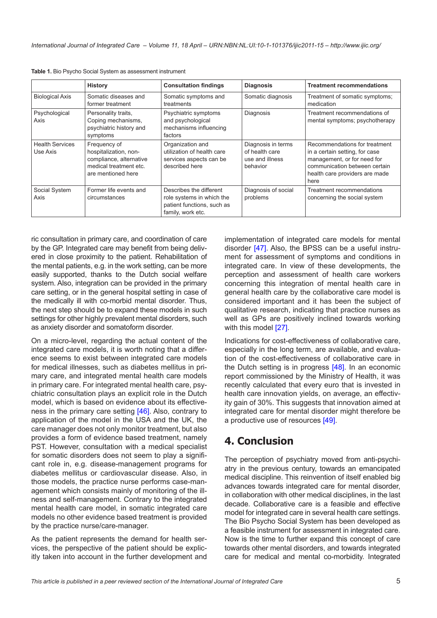|                                    | <b>History</b>                                                                                                   | <b>Consultation findings</b>                                                                            | <b>Diagnosis</b>                                                    | <b>Treatment recommendations</b>                                                                                                                                          |
|------------------------------------|------------------------------------------------------------------------------------------------------------------|---------------------------------------------------------------------------------------------------------|---------------------------------------------------------------------|---------------------------------------------------------------------------------------------------------------------------------------------------------------------------|
| <b>Biological Axis</b>             | Somatic diseases and<br>former treatment                                                                         | Somatic symptoms and<br>treatments                                                                      | Somatic diagnosis                                                   | Treatment of somatic symptoms;<br>medication                                                                                                                              |
| Psychological<br>Axis              | Personality traits,<br>Coping mechanisms,<br>psychiatric history and<br>symptoms                                 | Psychiatric symptoms<br>and psychological<br>mechanisms influencing<br>factors                          | Diagnosis                                                           | Treatment recommendations of<br>mental symptoms; psychotherapy                                                                                                            |
| <b>Health Services</b><br>Use Axis | Frequency of<br>hospitalization, non-<br>compliance, alternative<br>medical treatment etc.<br>are mentioned here | Organization and<br>utilization of health care<br>services aspects can be<br>described here             | Diagnosis in terms<br>of health care<br>use and illness<br>behavior | Recommendations for treatment<br>in a certain setting, for case<br>management, or for need for<br>communication between certain<br>health care providers are made<br>here |
| Social System<br>Axis              | Former life events and<br>circumstances                                                                          | Describes the different<br>role systems in which the<br>patient functions, such as<br>family, work etc. | Diagnosis of social<br>problems                                     | Treatment recommendations<br>concerning the social system                                                                                                                 |

<span id="page-4-0"></span>**Table 1.** Bio Psycho Social System as assessment instrument

ric consultation in primary care, and coordination of care by the GP. Integrated care may benefit from being delivered in close proximity to the patient. Rehabilitation of the mental patients, e.g. in the work setting, can be more easily supported, thanks to the Dutch social welfare system. Also, integration can be provided in the primary care setting, or in the general hospital setting in case of the medically ill with co-morbid mental disorder. Thus, the next step should be to expand these models in such settings for other highly prevalent mental disorders, such as anxiety disorder and somatoform disorder.

On a micro-level, regarding the actual content of the integrated care models, it is worth noting that a difference seems to exist between integrated care models for medical illnesses, such as diabetes mellitus in primary care, and integrated mental health care models in primary care. For integrated mental health care, psychiatric consultation plays an explicit role in the Dutch model, which is based on evidence about its effectiveness in the primary care setting [[46\]](#page-7-0). Also, contrary to application of the model in the USA and the UK, the care manager does not only monitor treatment, but also provides a form of evidence based treatment, namely PST. However, consultation with a medical specialist for somatic disorders does not seem to play a significant role in, e.g. disease-management programs for diabetes mellitus or cardiovascular disease. Also, in those models, the practice nurse performs case-management which consists mainly of monitoring of the illness and self-management. Contrary to the integrated mental health care model, in somatic integrated care models no other evidence based treatment is provided by the practice nurse/care-manager.

As the patient represents the demand for health services, the perspective of the patient should be explicitly taken into account in the further development and implementation of integrated care models for mental disorder [[47\]](#page-7-0). Also, the BPSS can be a useful instrument for assessment of symptoms and conditions in integrated care. In view of these developments, the perception and assessment of health care workers concerning this integration of mental health care in general health care by the collaborative care model is considered important and it has been the subject of qualitative research, indicating that practice nurses as well as GPs are positively inclined towards working with this model [[27\]](#page-6-0).

Indications for cost-effectiveness of collaborative care, especially in the long term, are available, and evaluation of the cost-effectiveness of collaborative care in the Dutch setting is in progress [\[48](#page-7-0)]. In an economic report commissioned by the Ministry of Health, it was recently calculated that every euro that is invested in health care innovation yields, on average, an effectivity gain of 30%. This suggests that innovation aimed at integrated care for mental disorder might therefore be a productive use of resources [[49\]](#page-7-0).

# **4. Conclusion**

The perception of psychiatry moved from anti-psychiatry in the previous century, towards an emancipated medical discipline. This reinvention of itself enabled big advances towards integrated care for mental disorder, in collaboration with other medical disciplines, in the last decade. Collaborative care is a feasible and effective model for integrated care in several health care settings. The Bio Psycho Social System has been developed as a feasible instrument for assessment in integrated care. Now is the time to further expand this concept of care towards other mental disorders, and towards integrated care for medical and mental co-morbidity. Integrated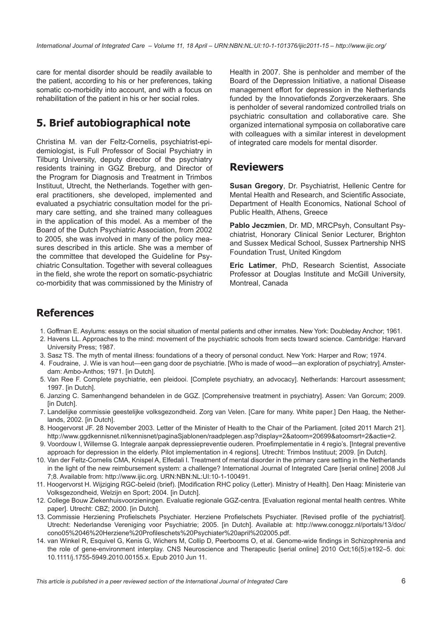<span id="page-5-0"></span>care for mental disorder should be readily available to the patient, according to his or her preferences, taking somatic co-morbidity into account, and with a focus on rehabilitation of the patient in his or her social roles.

# **5. Brief autobiographical note**

Christina M. van der Feltz-Cornelis, psychiatrist-epidemiologist, is Full Professor of Social Psychiatry in Tilburg University, deputy director of the psychiatry residents training in GGZ Breburg, and Director of the Program for Diagnosis and Treatment in Trimbos Instituut, Utrecht, the Netherlands. Together with general practitioners, she developed, implemented and evaluated a psychiatric consultation model for the primary care setting, and she trained many colleagues in the application of this model. As a member of the Board of the Dutch Psychiatric Association, from 2002 to 2005, she was involved in many of the policy measures described in this article. She was a member of the committee that developed the Guideline for Psychiatric Consultation. Together with several colleagues in the field, she wrote the report on somatic-psychiatric co-morbidity that was commissioned by the Ministry of Health in 2007. She is penholder and member of the Board of the Depression Initiative, a national Disease management effort for depression in the Netherlands funded by the Innovatiefonds Zorgverzekeraars. She is penholder of several randomized controlled trials on psychiatric consultation and collaborative care. She organized international symposia on collaborative care with colleagues with a similar interest in development of integrated care models for mental disorder.

### **Reviewers**

**Susan Gregory**, Dr. Psychiatrist, Hellenic Centre for Mental Health and Research, and Scientific Associate, Department of Health Economics, National School of Public Health, Athens, Greece

**Pablo Jeczmien**, Dr. MD, MRCPsyh, Consultant Psychiatrist, Honorary Clinical Senior Lecturer, Brighton and Sussex Medical School, Sussex Partnership NHS Foundation Trust, United Kingdom

**Eric Latimer**, PhD, Research Scientist, Associate Professor at Douglas Institute and McGill University, Montreal, Canada

## **References**

- 1. Goffman E. Asylums: essays on the social situation of mental patients and other inmates. New York: Doubleday Anchor; 1961.
- 2. Havens LL. Approaches to the mind: movement of the psychiatric schools from sects toward science. Cambridge: Harvard University Press; 1987.
- 3. Sasz TS. The myth of mental illness: foundations of a theory of personal conduct. New York: Harper and Row; 1974.
- 4. Foudraine, J. Wie is van hout—een gang door de psychiatrie. [Who is made of wood—an exploration of psychiatry]. Amsterdam: Ambo-Anthos; 1971. [in Dutch].
- 5. Van Ree F. Complete psychiatrie, een pleidooi. [Complete psychiatry, an advocacy]. Netherlands: Harcourt assessment; 1997. [in Dutch].
- 6. Janzing C. Samenhangend behandelen in de GGZ. [Comprehensive treatment in psychiatry]. Assen: Van Gorcum; 2009. [in Dutch].
- 7. Landelijke commissie geestelijke volksgezondheid. Zorg van Velen. [Care for many. White paper.] Den Haag, the Netherlands, 2002. [in Dutch].
- 8. Hoogervorst JF. 28 November 2003. Letter of the Minister of Health to the Chair of the Parliament. [cited 2011 March 21]. [http://www.ggdkennisnet.nl/kennisnet/paginaSjablonen/raadplegen.asp?display=2&atoom=20699&atoomsrt=2&actie=2.](http://www.ggdkennisnet.nl/kennisnet/paginaSjablonen/raadplegen.asp?display=2&atoom=20699&atoomsrt=2&actie=2)
- 9. Voordouw I, Willemse G. Integrale aanpak depressiepreventie ouderen. Proefimplementatie in 4 regio's. [Integral preventive approach for depression in the elderly. Pilot implementation in 4 regions]. Utrecht: Trimbos Instituut; 2009. [in Dutch].
- 10. Van der Feltz-Cornelis CMA, Knispel A, Elfedali I. Treatment of mental disorder in the primary care setting in the Netherlands in the light of the new reimbursement system: a challenge? International Journal of Integrated Care [serial online] 2008 Jul 7;8. Available from: [http://www.ijic.org.](http://www.ijic.org) [URN:NBN:NL:UI:10-1-100491.](URN:NBN:NL:UI:10-1-100491)
- 11. Hoogervorst H. Wijziging RGC-beleid (brief). [Modification RHC policy (Letter). Ministry of Health]. Den Haag: Ministerie van Volksgezondheid, Welzijn en Sport; 2004. [in Dutch].
- 12. College Bouw Ziekenhuisvoorzieningen. Evaluatie regionale GGZ-centra. [Evaluation regional mental health centres. White paper]. Utrecht: CBZ; 2000. [in Dutch].
- 13. Commissie Herziening Profielschets Psychiater. Herziene Profielschets Psychiater. [Revised profile of the pychiatrist]. Utrecht: Nederlandse Vereniging voor Psychiatrie; 2005. [in Dutch]. Available at: [http://www.conoggz.nl/portals/13/doc/](http://www.conoggz.nl/portals/13/doc/cono05%2046%20Herziene%20Profileschets%20Psychiater%20april%202005.pdf) [cono05%2046%20Herziene%20Profileschets%20Psychiater%20april%202005.pd](http://www.conoggz.nl/portals/13/doc/cono05%2046%20Herziene%20Profileschets%20Psychiater%20april%202005.pdf)f.
- 14. van Winkel R, Esquivel G, Kenis G, Wichers M, Collip D, Peerbooms O, et al. Genome-wide findings in Schizophrenia and the role of gene-environment interplay. CNS Neuroscience and Therapeutic [serial online] 2010 Oct;16(5):e192–5. doi: 10.1111/j.1755-5949.2010.00155.x. Epub 2010 Jun 11.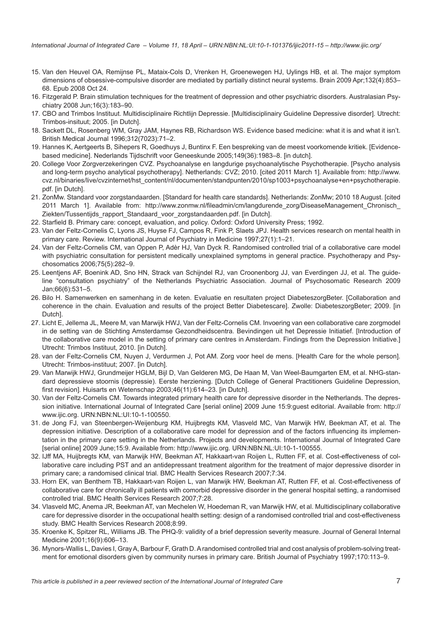- <span id="page-6-0"></span>15. Van den Heuvel OA, Remijnse PL, Mataix-Cols D, Vrenken H, Groenewegen HJ, Uylings HB, et al. The major symptom dimensions of obsessive-compulsive disorder are mediated by partially distinct neural systems. Brain 2009 Apr;132(4):853– 68. Epub 2008 Oct 24.
- 16. Fitzgerald P. Brain stimulation techniques for the treatment of depression and other psychiatric disorders. Australasian Psychiatry 2008 Jun;16(3):183–90.
- 17. CBO and Trimbos Instituut. Multidisciplinaire Richtlijn Depressie. [Multidisciplinairy Guideline Depressive disorder]. Utrecht: Trimbos-insituut; 2005. [in Dutch].
- 18. Sackett DL, Rosenberg WM, Gray JAM, Haynes RB, Richardson WS. Evidence based medicine: what it is and what it isn't. British Medical Journal 1996;312(7023):71–2.
- 19. Hannes K, Aertgeerts B, Sihepers R, Goedhuys J, Buntinx F. Een bespreking van de meest voorkomende kritiek. [Evidencebased medicine]. Nederlands Tijdschrift voor Geneeskunde 2005;149(36):1983–8. [in dutch].
- 20. College Voor Zorgverzekeringen CVZ. Psychoanalyse en langdurige psychoanalytische Psychotherapie. [Psycho analysis and long-term psycho analytical psychotherapy]. Netherlands: CVZ; 2010. [cited 2011 March 1]. Available from: [http://www.](http://www.cvz.nl/binaries/live/cvzinternet/hst_content/nl/documenten/standpunten/2010/sp1003+psychoanalyse+en+psychotherapie.pdf) [cvz.nl/binaries/live/cvzinternet/hst\\_content/nl/documenten/standpunten/2010/sp1003+psychoanalyse+en+psychotherapie.](http://www.cvz.nl/binaries/live/cvzinternet/hst_content/nl/documenten/standpunten/2010/sp1003+psychoanalyse+en+psychotherapie.pdf) [pdf](http://www.cvz.nl/binaries/live/cvzinternet/hst_content/nl/documenten/standpunten/2010/sp1003+psychoanalyse+en+psychotherapie.pdf). [in Dutch].
- 21. ZonMw. Standard voor zorgstandaarden. [Standard for health care standards]. Netherlands: ZonMw; 2010 18 August. [cited 2011 March 1]. Available from: [http://www.zonmw.nl/fileadmin/cm/langdurende\\_zorg/DiseaseManagement\\_Chronisch\\_](http://www.zonmw.nl/fileadmin/cm/langdurende_zorg/DiseaseManagement_Chronisch_Ziekten/Tussentijds_rapport_Standaard_voor_zorgstandaarden.pdf) [Ziekten/Tussentijds\\_rapport\\_Standaard\\_voor\\_zorgstandaarden.pdf.](http://www.zonmw.nl/fileadmin/cm/langdurende_zorg/DiseaseManagement_Chronisch_Ziekten/Tussentijds_rapport_Standaard_voor_zorgstandaarden.pdf) [in Dutch].
- 22. Starfield B. Primary care: concept, evaluation, and policy. Oxford: Oxford University Press; 1992.
- 23. Van der Feltz-Cornelis C, Lyons JS, Huyse FJ, Campos R, Fink P, Slaets JPJ. Health services research on mental health in primary care. Review. International Journal of Psychiatry in Medicine 1997;27(1):1–21.
- 24. Van der Feltz-Cornelis CM, van Oppen P, Adèr HJ, Van Dyck R. Randomised controlled trial of a collaborative care model with psychiatric consultation for persistent medically unexplained symptoms in general practice. Psychotherapy and Psychosomatics 2006;75(5):282–9.
- 25. Leentjens AF, Boenink AD, Sno HN, Strack van Schijndel RJ, van Croonenborg JJ, van Everdingen JJ, et al. The guideline "consultation psychiatry" of the Netherlands Psychiatric Association. Journal of Psychosomatic Research 2009 Jan;66(6):531–5.
- 26. Bilo H. Samenwerken en samenhang in de keten. Evaluatie en resultaten project DiabeteszorgBeter. [Collaboration and coherence in the chain. Evaluation and results of the project Better Diabetescare]. Zwolle: DiabeteszorgBeter; 2009. [in Dutch].
- 27. Licht E, Jellema JL, Meere M, van Marwijk HWJ, Van der Feltz-Cornelis CM. Invoering van een collaborative care zorgmodel in de setting van de Stichting Amsterdamse Gezondheidscentra. Bevindingen uit het Depressie Initiatief. [Introduction of the collaborative care model in the setting of primary care centres in Amsterdam. Findings from the Depression Initiative.] Utrecht: Trimbos Instituut, 2010. [in Dutch].
- 28. van der Feltz-Cornelis CM, Nuyen J, Verdurmen J, Pot AM. Zorg voor heel de mens. [Health Care for the whole person]. Utrecht: Trimbos-instituut; 2007. [in Dutch].
- 29. Van Marwijk HWJ, Grundmeijer HGLM, Bijl D, Van Gelderen MG, De Haan M, Van Weel-Baumgarten EM, et al. NHG-standard depressieve stoornis (depressie). Eerste herziening. [Dutch College of General Practitioners Guideline Depression, first revision]. Huisarts en Wetenschap 2003;46(11):614–23. [in Dutch].
- 30. Van der Feltz-Cornelis CM. Towards integrated primary health care for depressive disorder in the Netherlands. The depression initiative. International Journal of Integrated Care [serial online] 2009 June 15:9:guest editorial. Available from: [http://](http://www.ijic.org) [www.ijic.org](http://www.ijic.org).<URN:NBN:NL:UI:10-1-100550>.
- 31. de Jong FJ, van Steenbergen-Weijenburg KM, Huijbregts KM, Vlasveld MC, Van Marwijk HW, Beekman AT, et al. The depression initiative. Description of a collaborative care model for depression and of the factors influencing its implementation in the primary care setting in the Netherlands. Projects and developments. International Journal of Integrated Care [serial online] 2009 June;15:9. Available from: [http://www.ijic.org.](http://www.ijic.org) [URN:NBN:NL:UI:10-1-100555.](URN:NBN:NL:UI:10-1-100555)
- 32. IJff MA, Huijbregts KM, van Marwijk HW, Beekman AT, Hakkaart-van Roijen L, Rutten FF, et al. Cost-effectiveness of collaborative care including PST and an antidepressant treatment algorithm for the treatment of major depressive disorder in primary care; a randomised clinical trial. BMC Health Services Research 2007;7:34.
- 33. Horn EK, van Benthem TB, Hakkaart-van Roijen L, van Marwijk HW, Beekman AT, Rutten FF, et al. Cost-effectiveness of collaborative care for chronically ill patients with comorbid depressive disorder in the general hospital setting, a randomised controlled trial. BMC Health Services Research 2007;7:28.
- 34. Vlasveld MC, Anema JR, Beekman AT, van Mechelen W, Hoedeman R, van Marwijk HW, et al. Multidisciplinary collaborative care for depressive disorder in the occupational health setting: design of a randomised controlled trial and cost-effectiveness study. BMC Health Services Research 2008;8:99.
- 35. Kroenke K, Spitzer RL, Williams JB. The PHQ-9: validity of a brief depression severity measure. Journal of General Internal Medicine 2001;16(9):606–13.
- 36. Mynors-Wallis L, Davies I, Gray A, Barbour F, Grath D. A randomised controlled trial and cost analysis of problem-solving treatment for emotional disorders given by community nurses in primary care. British Journal of Psychiatry 1997;170:113–9.